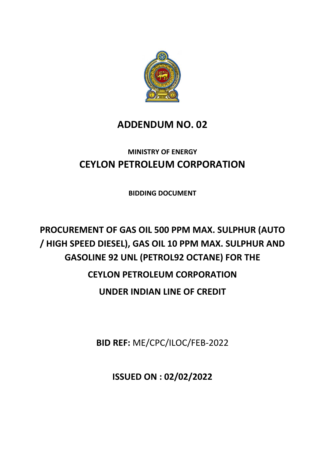

# **ADDENDUM NO. 02**

# **MINISTRY OF ENERGY CEYLON PETROLEUM CORPORATION**

**BIDDING DOCUMENT**

# **PROCUREMENT OF GAS OIL 500 PPM MAX. SULPHUR (AUTO / HIGH SPEED DIESEL), GAS OIL 10 PPM MAX. SULPHUR AND GASOLINE 92 UNL (PETROL92 OCTANE) FOR THE CEYLON PETROLEUM CORPORATION UNDER INDIAN LINE OF CREDIT**

**BID REF:** ME/CPC/ILOC/FEB-2022

**ISSUED ON : 02/02/2022**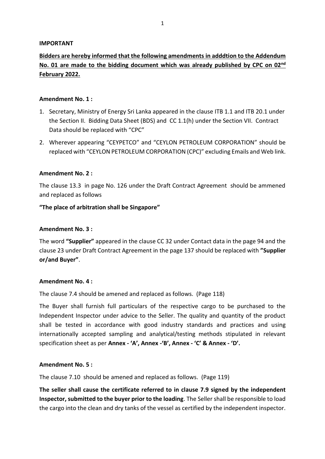# **IMPORTANT**

# **Bidders are hereby informed that the following amendments in adddtion to the Addendum No. 01 are made to the bidding document which was already published by CPC on 02nd February 2022.**

# **Amendment No. 1 :**

- 1. Secretary, Ministry of Energy Sri Lanka appeared in the clause ITB 1.1 and ITB 20.1 under the Section II. Bidding Data Sheet (BDS) and CC 1.1(h) under the Section VII. Contract Data should be replaced with "CPC"
- 2. Wherever appearing "CEYPETCO" and "CEYLON PETROLEUM CORPORATION" should be replaced with "CEYLON PETROLEUM CORPORATION (CPC)" excluding Emails and Web link.

#### **Amendment No. 2 :**

The clause 13.3 in page No. 126 under the Draft Contract Agreement should be ammened and replaced as follows

#### **"The place of arbitration shall be Singapore"**

#### **Amendment No. 3 :**

The word **"Supplier"** appeared in the clause CC 32 under Contact data in the page 94 and the clause 23 under Draft Contract Agreement in the page 137 should be replaced with **"Supplier or/and Buyer"**.

#### **Amendment No. 4 :**

The clause 7.4 should be amened and replaced as follows. (Page 118)

The Buyer shall furnish full particulars of the respective cargo to be purchased to the Independent Inspector under advice to the Seller. The quality and quantity of the product shall be tested in accordance with good industry standards and practices and using internationally accepted sampling and analytical/testing methods stipulated in relevant specification sheet as per **Annex - 'A', Annex -'B', Annex - 'C' & Annex - 'D'.**

#### **Amendment No. 5 :**

The clause 7.10 should be amened and replaced as follows. (Page 119)

**The seller shall cause the certificate referred to in clause 7.9 signed by the independent Inspector, submitted to the buyer prior to the loading**. The Seller shall be responsible to load the cargo into the clean and dry tanks of the vessel as certified by the independent inspector.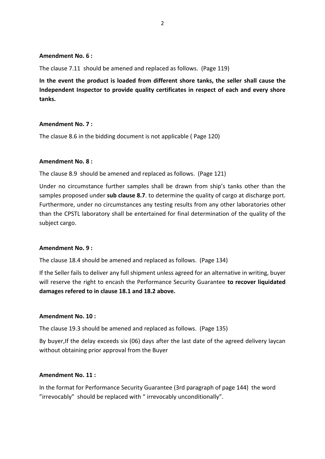### **Amendment No. 6 :**

The clause 7.11 should be amened and replaced as follows. (Page 119)

**In the event the product is loaded from different shore tanks, the seller shall cause the Independent Inspector to provide quality certificates in respect of each and every shore tanks.** 

#### **Amendment No. 7 :**

The clasue 8.6 in the bidding document is not applicable ( Page 120)

# **Amendment No. 8 :**

The clause 8.9 should be amened and replaced as follows. (Page 121)

Under no circumstance further samples shall be drawn from ship's tanks other than the samples proposed under **sub clause 8.7**. to determine the quality of cargo at discharge port. Furthermore, under no circumstances any testing results from any other laboratories other than the CPSTL laboratory shall be entertained for final determination of the quality of the subject cargo.

#### **Amendment No. 9 :**

The clause 18.4 should be amened and replaced as follows. (Page 134)

If the Seller fails to deliver any full shipment unless agreed for an alternative in writing, buyer will reserve the right to encash the Performance Security Guarantee **to recover liquidated damages refered to in clause 18.1 and 18.2 above.**

#### **Amendment No. 10 :**

The clause 19.3 should be amened and replaced as follows. (Page 135)

By buyer,If the delay exceeds six (06) days after the last date of the agreed delivery laycan without obtaining prior approval from the Buyer

#### **Amendment No. 11 :**

In the format for Performance Security Guarantee (3rd paragraph of page 144) the word "irrevocably" should be replaced with " irrevocably unconditionally".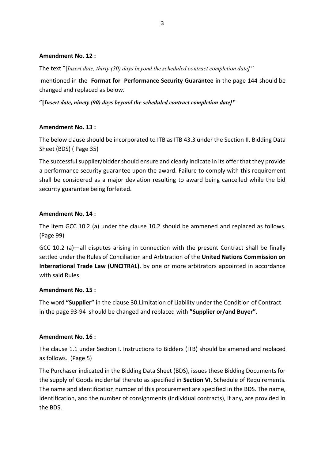# **Amendment No. 12 :**

The text "[*Insert date, thirty (30) days beyond the scheduled contract completion date]"* 

mentioned in the **Format for Performance Security Guarantee** in the page 144 should be changed and replaced as below.

**"[***Insert date, ninety (90) days beyond the scheduled contract completion date]"*

# **Amendment No. 13 :**

The below clause should be incorporated to ITB as ITB 43.3 under the Section II. Bidding Data Sheet (BDS) ( Page 35)

The successful supplier/bidder should ensure and clearly indicate in its offer that they provide a performance security guarantee upon the award. Failure to comply with this requirement shall be considered as a major deviation resulting to award being cancelled while the bid security guarantee being forfeited.

# **Amendment No. 14 :**

The item GCC 10.2 (a) under the clause 10.2 should be ammened and replaced as follows. (Page 99)

GCC 10.2 (a)—all disputes arising in connection with the present Contract shall be finally settled under the Rules of Conciliation and Arbitration of the **United Nations Commission on International Trade Law (UNCITRAL)**, by one or more arbitrators appointed in accordance with said Rules.

# **Amendment No. 15 :**

The word **"Supplier"** in the clause 30.Limitation of Liability under the Condition of Contract in the page 93-94 should be changed and replaced with **"Supplier or/and Buyer"**.

# **Amendment No. 16 :**

The clause 1.1 under Section I. Instructions to Bidders (ITB) should be amened and replaced as follows. (Page 5)

The Purchaser indicated in the Bidding Data Sheet (BDS), issues these Bidding Documents for the supply of Goods incidental thereto as specified in **Section VI**, Schedule of Requirements. The name and identification number of this procurement are specified in the BDS. The name, identification, and the number of consignments (individual contracts), if any, are provided in the BDS.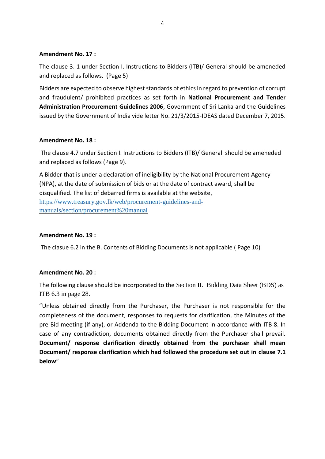### **Amendment No. 17 :**

The clause 3. 1 under Section I. Instructions to Bidders (ITB)/ General should be ameneded and replaced as follows. (Page 5)

Bidders are expected to observe highest standards of ethics in regard to prevention of corrupt and fraudulent/ prohibited practices as set forth in **National Procurement and Tender Administration Procurement Guidelines 2006**, Government of Sri Lanka and the Guidelines issued by the Government of India vide letter No. 21/3/2015-IDEAS dated December 7, 2015.

# **Amendment No. 18 :**

The clause 4.7 under Section I. Instructions to Bidders (ITB)/ General should be ameneded and replaced as follows (Page 9).

A Bidder that is under a declaration of ineligibility by the National Procurement Agency (NPA), at the date of submission of bids or at the date of contract award, shall be disqualified. The list of debarred firms is available at the website, [https://www.treasury.gov.lk/web/procurement-guidelines-and](https://www.treasury.gov.lk/web/procurement-guidelines-and-manuals/section/procurement%20manual)[manuals/section/procurement%20manual](https://www.treasury.gov.lk/web/procurement-guidelines-and-manuals/section/procurement%20manual)

# **Amendment No. 19 :**

The clasue 6.2 in the B. Contents of Bidding Documents is not applicable ( Page 10)

#### **Amendment No. 20 :**

The following clause should be incorporated to the Section II. Bidding Data Sheet (BDS) as ITB 6.3 in page 28.

"Unless obtained directly from the Purchaser, the Purchaser is not responsible for the completeness of the document, responses to requests for clarification, the Minutes of the pre-Bid meeting (if any), or Addenda to the Bidding Document in accordance with ITB 8. In case of any contradiction, documents obtained directly from the Purchaser shall prevail. **Document/ response clarification directly obtained from the purchaser shall mean Document/ response clarification which had followed the procedure set out in clause 7.1 below**"